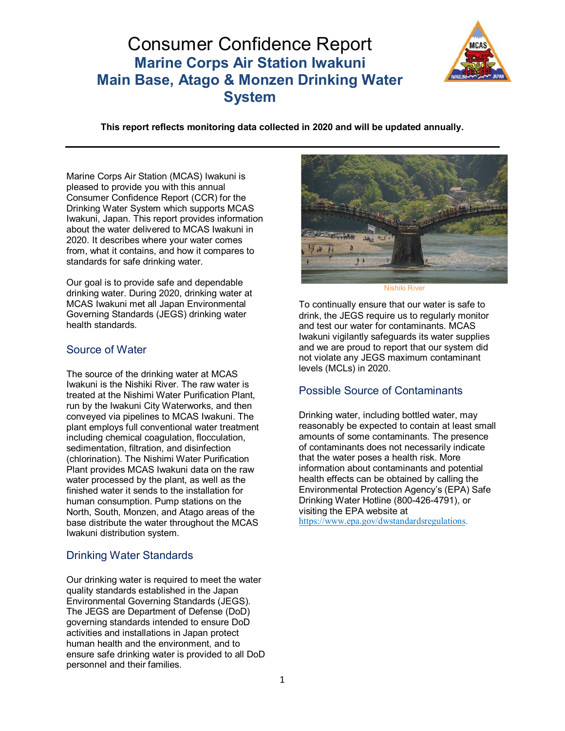# Consumer Confidence Report **Marine Corps Air Station Iwakuni Main Base, Atago & Monzen Drinking Water System**



**This report reflects monitoring data collected in 2020 and will be updated annually.**

Marine Corps Air Station (MCAS) Iwakuni is pleased to provide you with this annual Consumer Confidence Report (CCR) for the Drinking Water System which supports MCAS Iwakuni, Japan. This report provides information about the water delivered to MCAS Iwakuni in 2020. It describes where your water comes from, what it contains, and how it compares to standards for safe drinking water.

Our goal is to provide safe and dependable drinking water. During 2020, drinking water at MCAS Iwakuni met all Japan Environmental Governing Standards (JEGS) drinking water health standards.

### Source of Water

The source of the drinking water at MCAS Iwakuni is the Nishiki River. The raw water is treated at the Nishimi Water Purification Plant, run by the Iwakuni City Waterworks, and then conveyed via pipelines to MCAS Iwakuni. The plant employs full conventional water treatment including chemical coagulation, flocculation, sedimentation, filtration, and disinfection (chlorination). The Nishimi Water Purification Plant provides MCAS Iwakuni data on the raw water processed by the plant, as well as the finished water it sends to the installation for human consumption. Pump stations on the North, South, Monzen, and Atago areas of the base distribute the water throughout the MCAS Iwakuni distribution system.

# Drinking Water Standards

Our drinking water is required to meet the water quality standards established in the Japan Environmental Governing Standards (JEGS). The JEGS are Department of Defense (DoD) governing standards intended to ensure DoD activities and installations in Japan protect human health and the environment, and to ensure safe drinking water is provided to all DoD personnel and their families.



Nishiki River

To continually ensure that our water is safe to drink, the JEGS require us to regularly monitor and test our water for contaminants. MCAS Iwakuni vigilantly safeguards its water supplies and we are proud to report that our system did not violate any JEGS maximum contaminant levels (MCLs) in 2020.

# Possible Source of Contaminants

Drinking water, including bottled water, may reasonably be expected to contain at least small amounts of some contaminants. The presence of contaminants does not necessarily indicate that the water poses a health risk. More information about contaminants and potential health effects can be obtained by calling the Environmental Protection Agency's (EPA) Safe Drinking Water Hotline (800-426-4791), or visiting the EPA website at [https://www.epa.gov/dwstandardsregulations.](https://www.epa.gov/dwstandardsregulations)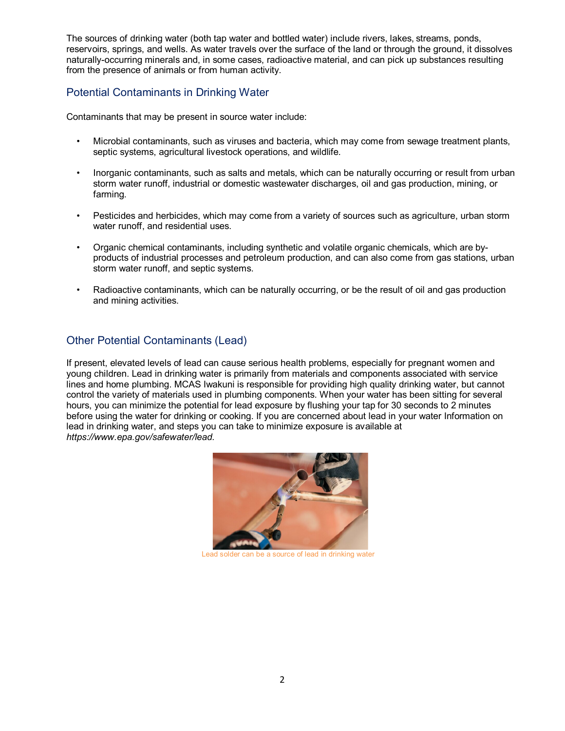The sources of drinking water (both tap water and bottled water) include rivers, lakes, streams, ponds, reservoirs, springs, and wells. As water travels over the surface of the land or through the ground, it dissolves naturally-occurring minerals and, in some cases, radioactive material, and can pick up substances resulting from the presence of animals or from human activity.

### Potential Contaminants in Drinking Water

Contaminants that may be present in source water include:

- Microbial contaminants, such as viruses and bacteria, which may come from sewage treatment plants, septic systems, agricultural livestock operations, and wildlife.
- Inorganic contaminants, such as salts and metals, which can be naturally occurring or result from urban storm water runoff, industrial or domestic wastewater discharges, oil and gas production, mining, or farming.
- Pesticides and herbicides, which may come from a variety of sources such as agriculture, urban storm water runoff, and residential uses.
- Organic chemical contaminants, including synthetic and volatile organic chemicals, which are byproducts of industrial processes and petroleum production, and can also come from gas stations, urban storm water runoff, and septic systems.
- Radioactive contaminants, which can be naturally occurring, or be the result of oil and gas production and mining activities.

## Other Potential Contaminants (Lead)

If present, elevated levels of lead can cause serious health problems, especially for pregnant women and young children. Lead in drinking water is primarily from materials and components associated with service lines and home plumbing. MCAS Iwakuni is responsible for providing high quality drinking water, but cannot control the variety of materials used in plumbing components. When your water has been sitting for several hours, you can minimize the potential for lead exposure by flushing your tap for 30 seconds to 2 minutes before using the water for drinking or cooking. If you are concerned about lead in your water Information on lead in drinking water, and steps you can take to minimize exposure is available at *http[s://www.](http://www.epa.gov/safewater/lead)e[pa.gov/safewater/lead.](http://www.epa.gov/safewater/lead)*



Lead solder can be a source of lead in drinking water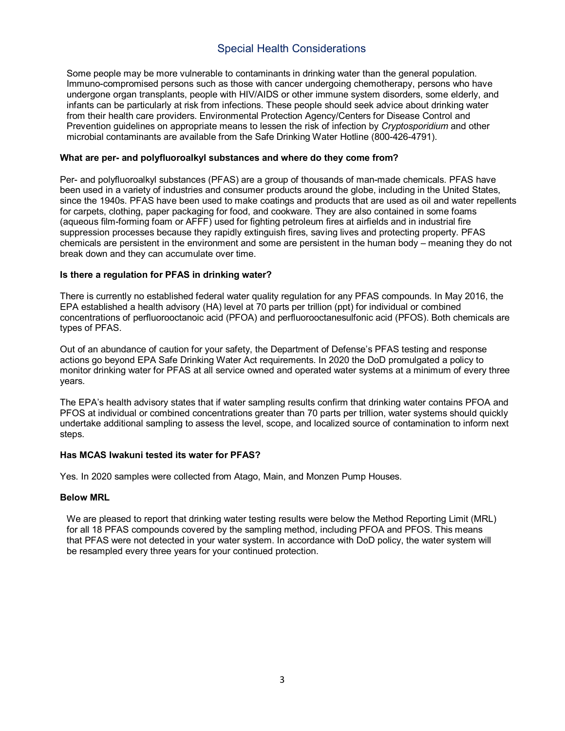# Special Health Considerations

Some people may be more vulnerable to contaminants in drinking water than the general population. Immuno-compromised persons such as those with cancer undergoing chemotherapy, persons who have undergone organ transplants, people with HIV/AIDS or other immune system disorders, some elderly, and infants can be particularly at risk from infections. These people should seek advice about drinking water from their health care providers. Environmental Protection Agency/Centers for Disease Control and Prevention guidelines on appropriate means to lessen the risk of infection by *Cryptosporidium* and other microbial contaminants are available from the Safe Drinking Water Hotline (800-426-4791).

#### **What are per- and polyfluoroalkyl substances and where do they come from?**

Per- and polyfluoroalkyl substances (PFAS) are a group of thousands of man-made chemicals. PFAS have been used in a variety of industries and consumer products around the globe, including in the United States, since the 1940s. PFAS have been used to make coatings and products that are used as oil and water repellents for carpets, clothing, paper packaging for food, and cookware. They are also contained in some foams (aqueous film-forming foam or AFFF) used for fighting petroleum fires at airfields and in industrial fire suppression processes because they rapidly extinguish fires, saving lives and protecting property. PFAS chemicals are persistent in the environment and some are persistent in the human body – meaning they do not break down and they can accumulate over time.

#### **Is there a regulation for PFAS in drinking water?**

There is currently no established federal water quality regulation for any PFAS compounds. In May 2016, the EPA established a health advisory (HA) level at 70 parts per trillion (ppt) for individual or combined concentrations of perfluorooctanoic acid (PFOA) and perfluorooctanesulfonic acid (PFOS). Both chemicals are types of PFAS.

Out of an abundance of caution for your safety, the Department of Defense's PFAS testing and response actions go beyond EPA Safe Drinking Water Act requirements. In 2020 the DoD promulgated a policy to monitor drinking water for PFAS at all service owned and operated water systems at a minimum of every three years.

The EPA's health advisory states that if water sampling results confirm that drinking water contains PFOA and PFOS at individual or combined concentrations greater than 70 parts per trillion, water systems should quickly undertake additional sampling to assess the level, scope, and localized source of contamination to inform next steps.

#### **Has MCAS Iwakuni tested its water for PFAS?**

Yes. In 2020 samples were collected from Atago, Main, and Monzen Pump Houses.

#### **Below MRL**

We are pleased to report that drinking water testing results were below the Method Reporting Limit (MRL) for all 18 PFAS compounds covered by the sampling method, including PFOA and PFOS. This means that PFAS were not detected in your water system. In accordance with DoD policy, the water system will be resampled every three years for your continued protection.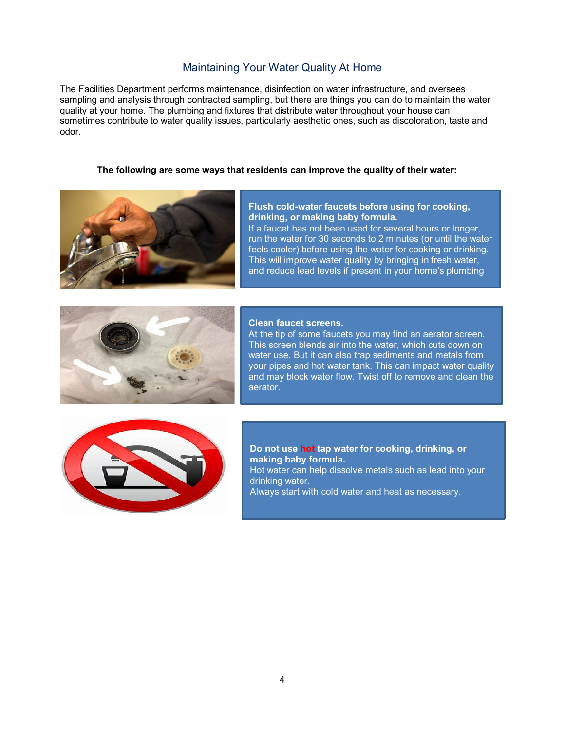### Maintaining Your Water Quality At Home

The Facilities Department performs maintenance, disinfection on water infrastructure, and oversees sampling and analysis through contracted sampling, but there are things you can do to maintain the water quality at your home. The plumbing and fixtures that distribute water throughout your house can sometimes contribute to water quality issues, particularly aesthetic ones, such as discoloration, taste and odor.

#### **The following are some ways that residents can improve the quality of their water:**



#### **Flush cold-water faucets before using for cooking, drinking, or making baby formula.**

If a faucet has not been used for several hours or longer, run the water for 30 seconds to 2 minutes (or until the water feels cooler) before using the water for cooking or drinking. This will improve water quality by bringing in fresh water, and reduce lead levels if present in your home's plumbing



#### **Clean faucet screens.**

At the tip of some faucets you may find an aerator screen. This screen blends air into the water, which cuts down on water use. But it can also trap sediments and metals from your pipes and hot water tank. This can impact water quality and may block water flow. Twist off to remove and clean the aerator.



#### **Do not use hot tap water for cooking, drinking, or making baby formula.**

Hot water can help dissolve metals such as lead into your drinking water.

Always start with cold water and heat as necessary.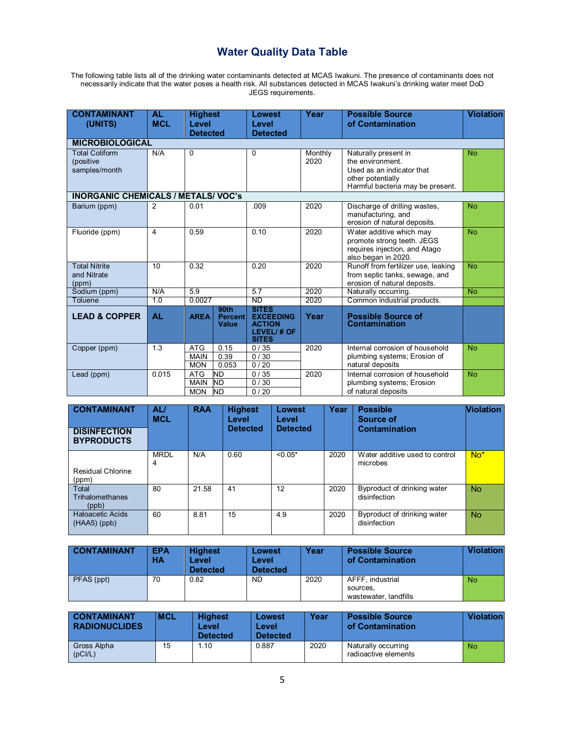# **Water Quality Data Table**

The following table lists all of the drinking water contaminants detected at MCAS Iwakuni. The presence of contaminants does not necessarily indicate that the water poses a health risk. All substances detected in MCAS Iwakuni's drinking water meet DoD JEGS requirements.

| <b>CONTAMINANT</b><br>(UNITS)                       | <b>AL</b><br><b>MCL</b> | <b>Highest</b><br>Level<br><b>Detected</b> |                                                    | <b>Lowest</b><br>Level<br><b>Detected</b>                                       | Year            | <b>Possible Source</b><br>of Contamination                                                                                     | <b>Violation</b> |
|-----------------------------------------------------|-------------------------|--------------------------------------------|----------------------------------------------------|---------------------------------------------------------------------------------|-----------------|--------------------------------------------------------------------------------------------------------------------------------|------------------|
| <b>MICROBIOLOGICAL</b>                              |                         |                                            |                                                    |                                                                                 |                 |                                                                                                                                |                  |
| <b>Total Coliform</b><br>(positive<br>samples/month | N/A                     | $\Omega$                                   |                                                    | $\Omega$                                                                        | Monthly<br>2020 | Naturally present in<br>the environment.<br>Used as an indicator that<br>other potentially<br>Harmful bacteria may be present. | <b>No</b>        |
| <b>INORGANIC CHEMICALS / METALS/ VOC's</b>          |                         |                                            |                                                    |                                                                                 |                 |                                                                                                                                |                  |
| Barium (ppm)                                        | $\mathcal{P}$           | 0.01                                       |                                                    | .009                                                                            | 2020            | Discharge of drilling wastes,<br>manufacturing, and<br>erosion of natural deposits.                                            | <b>No</b>        |
| Fluoride (ppm)                                      | 4                       | 0.59                                       |                                                    | 0.10                                                                            | 2020            | Water additive which may<br>promote strong teeth. JEGS<br>requires injection, and Atago<br>also began in 2020.                 | <b>No</b>        |
| <b>Total Nitrite</b><br>and Nitrate<br>(ppm)        | 10                      | 0.32                                       |                                                    | 0.20                                                                            | 2020            | Runoff from fertilizer use, leaking<br>from septic tanks, sewage, and<br>erosion of natural deposits.                          | <b>No</b>        |
| Sodium (ppm)                                        | N/A                     | 5.9                                        |                                                    | 5.7                                                                             | 2020            | Naturally occurring.                                                                                                           | <b>No</b>        |
| Toluene                                             | 1.0                     | 0.0027                                     |                                                    | <b>ND</b>                                                                       | 2020            | Common industrial products.                                                                                                    |                  |
| <b>LEAD &amp; COPPER</b>                            | <b>AL</b>               | <b>AREA</b>                                | 90 <sub>th</sub><br><b>Percent</b><br><b>Value</b> | <b>SITES</b><br><b>EXCEEDING</b><br><b>ACTION</b><br>LEVEL/# OF<br><b>SITES</b> | Year            | <b>Possible Source of</b><br><b>Contamination</b>                                                                              |                  |
| Copper (ppm)                                        | 1.3                     | <b>ATG</b><br><b>MAIN</b><br><b>MON</b>    | 0.15<br>0.39<br>0.053                              | 0/35<br>0/30<br>0/20                                                            | 2020            | Internal corrosion of household<br>plumbing systems; Erosion of<br>natural deposits                                            | <b>No</b>        |
| Lead (ppm)                                          | 0.015                   | <b>ATG</b><br><b>MAIN</b><br><b>MON</b>    | <b>ND</b><br><b>ND</b><br><b>ND</b>                | 0/35<br>0/30<br>0/20                                                            | 2020            | Internal corrosion of household<br>plumbing systems; Erosion<br>of natural deposits                                            | <b>No</b>        |

| <b>CONTAMINANT</b><br><b>DISINFECTION</b><br><b>BYPRODUCTS</b> | AL/<br><b>MCL</b> | <b>RAA</b> | <b>Highest</b><br>Level<br><b>Detected</b> | Lowest<br>Level<br><b>Detected</b> | Year | <b>Possible</b><br>Source of<br>Contamination | <b>Violation</b> |
|----------------------------------------------------------------|-------------------|------------|--------------------------------------------|------------------------------------|------|-----------------------------------------------|------------------|
| <b>Residual Chlorine</b><br>(ppm)                              | <b>MRDL</b><br>4  | N/A        | 0.60                                       | $< 0.05*$                          | 2020 | Water additive used to control<br>microbes    | $No*$            |
| Total<br>Trihalomethanes<br>(ppb)                              | 80                | 21.58      | 41                                         | 12                                 | 2020 | Byproduct of drinking water<br>disinfection   | <b>No</b>        |
| <b>Haloacetic Acids</b><br>$(HAA5)$ (ppb)                      | 60                | 8.81       | 15                                         | 4.9                                | 2020 | Byproduct of drinking water<br>disinfection   | <b>No</b>        |

| <b>CONTAMINANT</b> | <b>EPA</b><br>HA | <b>Highest</b><br>Level<br><b>Detected</b> | Lowest<br>Level<br><b>Detected</b> | Year | <b>Possible Source</b><br>of Contamination            | <b>Violation</b> |
|--------------------|------------------|--------------------------------------------|------------------------------------|------|-------------------------------------------------------|------------------|
| PFAS (ppt)         | 70               | 0.82                                       | <b>ND</b>                          | 2020 | AFFF, industrial<br>sources.<br>wastewater, landfills | <b>No</b>        |

| <b>CONTAMINANT</b><br><b>RADIONUCLIDES</b> | <b>MCL</b> | <b>Highest</b><br>Level<br><b>Detected</b> | Lowest<br>Level<br><b>Detected</b> | Year | <b>Possible Source</b><br>of Contamination  | Violation      |
|--------------------------------------------|------------|--------------------------------------------|------------------------------------|------|---------------------------------------------|----------------|
| Gross Alpha<br>(pC I/L)                    | 15         | 1.10                                       | 0.887                              | 2020 | Naturally occurring<br>radioactive elements | N <sub>o</sub> |